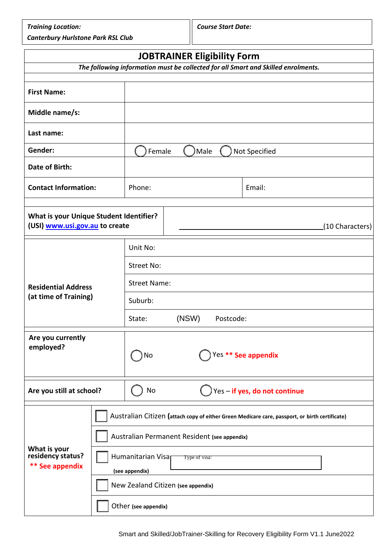*Training Location: Course Start Date:*

*Canterbury Hurlstone Park RSL Club*

| <b>JOBTRAINER Eligibility Form</b>                                                |  |                                              |               |  |                                                                                                |  |
|-----------------------------------------------------------------------------------|--|----------------------------------------------|---------------|--|------------------------------------------------------------------------------------------------|--|
| The following information must be collected for all Smart and Skilled enrolments. |  |                                              |               |  |                                                                                                |  |
|                                                                                   |  |                                              |               |  |                                                                                                |  |
| <b>First Name:</b>                                                                |  |                                              |               |  |                                                                                                |  |
| Middle name/s:                                                                    |  |                                              |               |  |                                                                                                |  |
| Last name:                                                                        |  |                                              |               |  |                                                                                                |  |
| Gender:                                                                           |  | Male<br>Not Specified<br>Female              |               |  |                                                                                                |  |
| Date of Birth:                                                                    |  |                                              |               |  |                                                                                                |  |
| <b>Contact Information:</b>                                                       |  | Phone:                                       |               |  | Email:                                                                                         |  |
| <b>What is your Unique Student Identifier?</b><br>(USI) www.usi.gov.au to create  |  |                                              |               |  | (10 Characters)                                                                                |  |
|                                                                                   |  | Unit No:                                     |               |  |                                                                                                |  |
|                                                                                   |  | <b>Street No:</b>                            |               |  |                                                                                                |  |
| <b>Residential Address</b><br>(at time of Training)                               |  | <b>Street Name:</b>                          |               |  |                                                                                                |  |
|                                                                                   |  | Suburb:                                      |               |  |                                                                                                |  |
|                                                                                   |  | (NSW)<br>State:<br>Postcode:                 |               |  |                                                                                                |  |
| Are you currently<br>employed?                                                    |  | Yes ** See appendix<br>No                    |               |  |                                                                                                |  |
| Are you still at school?                                                          |  | Yes-if yes, do not continue<br>No            |               |  |                                                                                                |  |
|                                                                                   |  |                                              |               |  | Australian Citizen (attach copy of either Green Medicare care, passport, or birth certificate) |  |
| What is your<br>residency status?<br><b>** See appendix</b>                       |  | Australian Permanent Resident (see appendix) |               |  |                                                                                                |  |
|                                                                                   |  | Humanitarian Visa<br>(see appendix)          | Type of visa: |  |                                                                                                |  |
|                                                                                   |  | New Zealand Citizen (see appendix)           |               |  |                                                                                                |  |
|                                                                                   |  | Other (see appendix)                         |               |  |                                                                                                |  |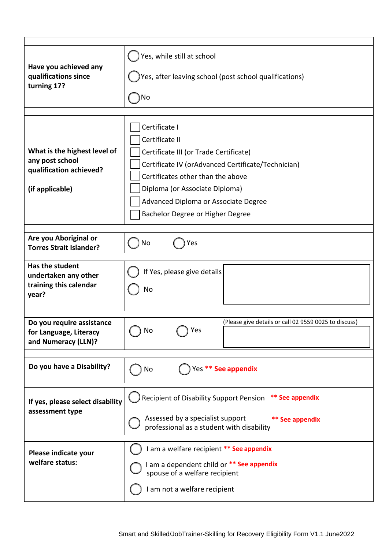|                                                                                               | Yes, while still at school                                                                                                                                                                                                                                                         |  |  |  |  |  |  |
|-----------------------------------------------------------------------------------------------|------------------------------------------------------------------------------------------------------------------------------------------------------------------------------------------------------------------------------------------------------------------------------------|--|--|--|--|--|--|
| Have you achieved any<br>qualifications since<br>turning 17?                                  | Yes, after leaving school (post school qualifications)                                                                                                                                                                                                                             |  |  |  |  |  |  |
|                                                                                               | No                                                                                                                                                                                                                                                                                 |  |  |  |  |  |  |
| What is the highest level of<br>any post school<br>qualification achieved?<br>(if applicable) | Certificate I<br>Certificate II<br>Certificate III (or Trade Certificate)<br>Certificate IV (orAdvanced Certificate/Technician)<br>Certificates other than the above<br>Diploma (or Associate Diploma)<br>Advanced Diploma or Associate Degree<br>Bachelor Degree or Higher Degree |  |  |  |  |  |  |
| Are you Aboriginal or<br><b>Torres Strait Islander?</b>                                       | No<br>Yes                                                                                                                                                                                                                                                                          |  |  |  |  |  |  |
| Has the student<br>undertaken any other<br>training this calendar<br>year?                    | If Yes, please give details<br>No                                                                                                                                                                                                                                                  |  |  |  |  |  |  |
| Do you require assistance<br>for Language, Literacy<br>and Numeracy (LLN)?                    | (Please give details or call 02 9559 0025 to discuss)<br>Yes<br>No                                                                                                                                                                                                                 |  |  |  |  |  |  |
| Do you have a Disability?                                                                     | Yes ** See appendix<br>No                                                                                                                                                                                                                                                          |  |  |  |  |  |  |
| If yes, please select disability<br>assessment type                                           | Recipient of Disability Support Pension<br>** See appendix<br>Assessed by a specialist support<br>** See appendix<br>professional as a student with disability                                                                                                                     |  |  |  |  |  |  |
| Please indicate your<br>welfare status:                                                       | I am a welfare recipient ** See appendix<br>I am a dependent child or ** See appendix<br>spouse of a welfare recipient<br>I am not a welfare recipient                                                                                                                             |  |  |  |  |  |  |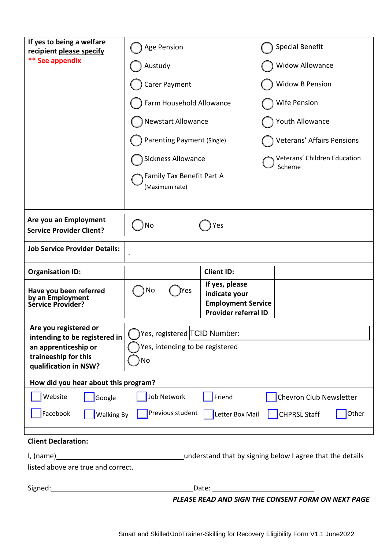| If yes to being a welfare<br>recipient please specify<br>** See appendix                        | Age Pension<br>Austudy<br>Carer Payment<br>Farm Household Allowance<br>Newstart Allowance<br>Parenting Payment (Single)<br><b>Sickness Allowance</b><br>Family Tax Benefit Part A<br>(Maximum rate) |                                                                                             | <b>Special Benefit</b><br><b>Widow Allowance</b><br><b>Widow B Pension</b><br>Wife Pension<br>Youth Allowance<br>Veterans' Affairs Pensions<br>Veterans' Children Education<br>Scheme |  |  |  |
|-------------------------------------------------------------------------------------------------|-----------------------------------------------------------------------------------------------------------------------------------------------------------------------------------------------------|---------------------------------------------------------------------------------------------|---------------------------------------------------------------------------------------------------------------------------------------------------------------------------------------|--|--|--|
|                                                                                                 |                                                                                                                                                                                                     |                                                                                             |                                                                                                                                                                                       |  |  |  |
| Are you an Employment<br><b>Service Provider Client?</b>                                        | No                                                                                                                                                                                                  | Yes                                                                                         |                                                                                                                                                                                       |  |  |  |
| <b>Job Service Provider Details:</b>                                                            |                                                                                                                                                                                                     |                                                                                             |                                                                                                                                                                                       |  |  |  |
| <b>Organisation ID:</b>                                                                         |                                                                                                                                                                                                     | <b>Client ID:</b>                                                                           |                                                                                                                                                                                       |  |  |  |
| Have you been referred<br>by an Employment<br>Service Provider?                                 | No<br>Yes                                                                                                                                                                                           | If yes, please<br>indicate your<br><b>Employment Service</b><br><b>Provider referral ID</b> |                                                                                                                                                                                       |  |  |  |
| Are you registered or                                                                           |                                                                                                                                                                                                     |                                                                                             |                                                                                                                                                                                       |  |  |  |
| intending to be registered in<br>an apprenticeship or                                           | Yes, registered TCID Number:<br>Yes, intending to be registered                                                                                                                                     |                                                                                             |                                                                                                                                                                                       |  |  |  |
| traineeship for this                                                                            | No                                                                                                                                                                                                  |                                                                                             |                                                                                                                                                                                       |  |  |  |
| qualification in NSW?                                                                           |                                                                                                                                                                                                     |                                                                                             |                                                                                                                                                                                       |  |  |  |
| How did you hear about this program?                                                            |                                                                                                                                                                                                     |                                                                                             |                                                                                                                                                                                       |  |  |  |
| Website<br>Google                                                                               | <b>Job Network</b>                                                                                                                                                                                  | Friend                                                                                      | Chevron Club Newsletter                                                                                                                                                               |  |  |  |
| Facebook<br><b>Walking By</b>                                                                   | Previous student                                                                                                                                                                                    | Letter Box Mail                                                                             | <b>CHPRSL Staff</b><br>Other                                                                                                                                                          |  |  |  |
| <b>Client Declaration:</b>                                                                      |                                                                                                                                                                                                     |                                                                                             |                                                                                                                                                                                       |  |  |  |
| understand that by signing below I agree that the details<br>listed above are true and correct. |                                                                                                                                                                                                     |                                                                                             |                                                                                                                                                                                       |  |  |  |
| Signed:                                                                                         |                                                                                                                                                                                                     | Date: __________                                                                            |                                                                                                                                                                                       |  |  |  |
|                                                                                                 |                                                                                                                                                                                                     |                                                                                             | PLEASE READ AND SIGN THE CONSENT FORM ON NEXT PAGE                                                                                                                                    |  |  |  |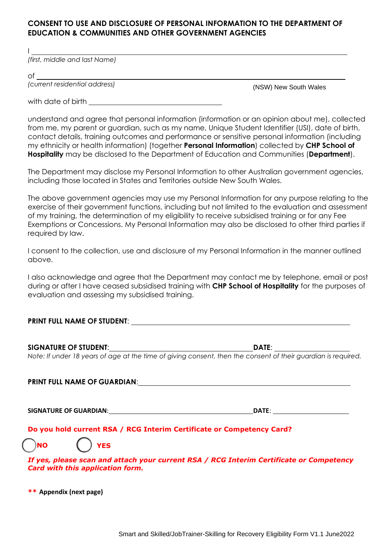#### **CONSENT TO USE AND DISCLOSURE OF PERSONAL INFORMATION TO THE DEPARTMENT OF EDUCATION & COMMUNITIES AND OTHER GOVERNMENT AGENCIES**

*(first, middle and last Name)*

of

I

*(current residential address)*

(NSW) New South Wales

with date of birth

understand and agree that personal information (information or an opinion about me), collected from me, my parent or guardian, such as my name, Unique Student Identifier (USI), date of birth, contact details, training outcomes and performance or sensitive personal information (including my ethnicity or health information) (together **Personal Information**) collected by **CHP School of Hospitality** may be disclosed to the Department of Education and Communities (**Department**).

The Department may disclose my Personal Information to other Australian government agencies, including those located in States and Territories outside New South Wales.

The above government agencies may use my Personal Information for any purpose relating to the exercise of their government functions, including but not limited to the evaluation and assessment of my training, the determination of my eligibility to receive subsidised training or for any Fee Exemptions or Concessions. My Personal Information may also be disclosed to other third parties if required by law.

I consent to the collection, use and disclosure of my Personal Information in the manner outlined above.

I also acknowledge and agree that the Department may contact me by telephone, email or post during or after I have ceased subsidised training with **CHP School of Hospitality** for the purposes of evaluation and assessing my subsidised training.

## **PRINT FULL NAME OF STUDENT**:

# **SIGNATURE OF STUDENT**: **DATE**:

*Note: If under 18 years of age at the time of giving consent, then the consent of their guardian is required.*

# **PRINT FULL NAME OF GUARDIAN**:

**SIGNATURE OF GUARDIAN**: **DATE**:

## **Do you hold current RSA / RCG Interim Certificate or Competency Card?**

❑ **NO YES**

*If yes, please scan and attach your current RSA / RCG Interim Certificate or Competency Card with this application form.*

**[\\*\\*](#page-4-2) [Appendix \(next page\)](#page-4-2)**

 $\mathcal{L}$